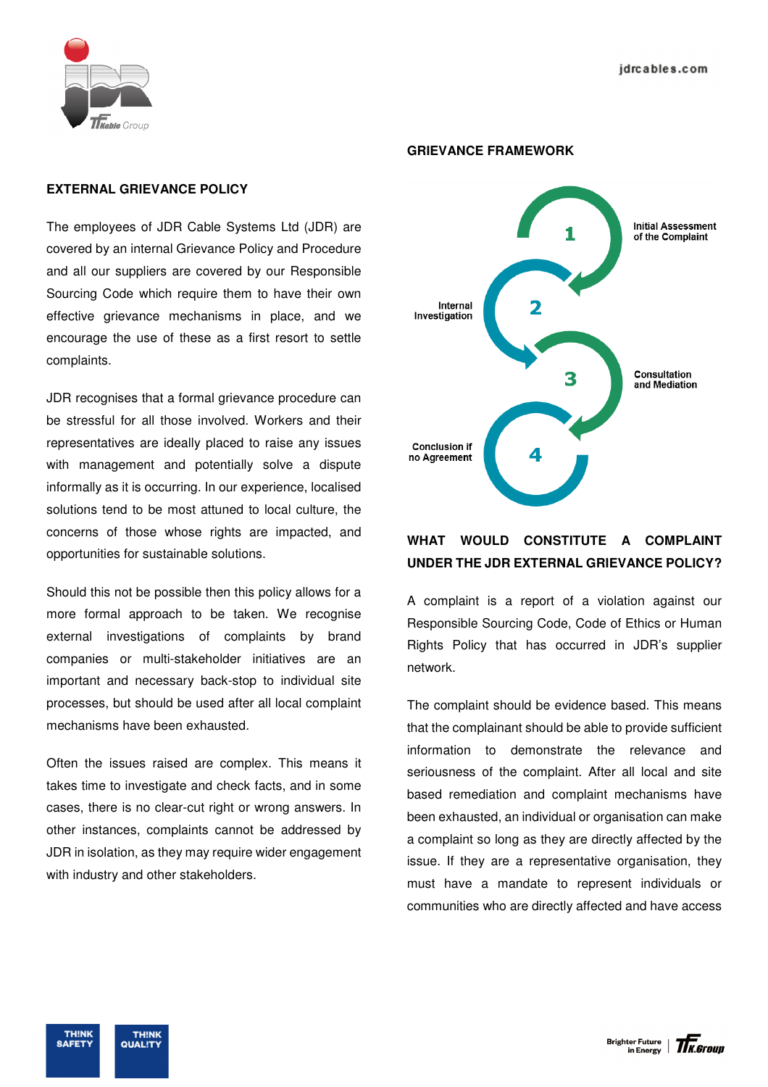

### **EXTERNAL GRIEVANCE POLICY**

The employees of JDR Cable Systems Ltd (JDR) are covered by an internal Grievance Policy and Procedure and all our suppliers are covered by our Responsible Sourcing Code which require them to have their own effective grievance mechanisms in place, and we encourage the use of these as a first resort to settle complaints.

JDR recognises that a formal grievance procedure can be stressful for all those involved. Workers and their representatives are ideally placed to raise any issues with management and potentially solve a dispute informally as it is occurring. In our experience, localised solutions tend to be most attuned to local culture, the concerns of those whose rights are impacted, and opportunities for sustainable solutions.

Should this not be possible then this policy allows for a more formal approach to be taken. We recognise external investigations of complaints by brand companies or multi-stakeholder initiatives are an important and necessary back-stop to individual site processes, but should be used after all local complaint mechanisms have been exhausted.

Often the issues raised are complex. This means it takes time to investigate and check facts, and in some cases, there is no clear-cut right or wrong answers. In other instances, complaints cannot be addressed by JDR in isolation, as they may require wider engagement with industry and other stakeholders.

#### **GRIEVANCE FRAMEWORK**



# **WHAT WOULD CONSTITUTE A COMPLAINT UNDER THE JDR EXTERNAL GRIEVANCE POLICY?**

A complaint is a report of a violation against our Responsible Sourcing Code, Code of Ethics or Human Rights Policy that has occurred in JDR's supplier network.

The complaint should be evidence based. This means that the complainant should be able to provide sufficient information to demonstrate the relevance and seriousness of the complaint. After all local and site based remediation and complaint mechanisms have been exhausted, an individual or organisation can make a complaint so long as they are directly affected by the issue. If they are a representative organisation, they must have a mandate to represent individuals or communities who are directly affected and have access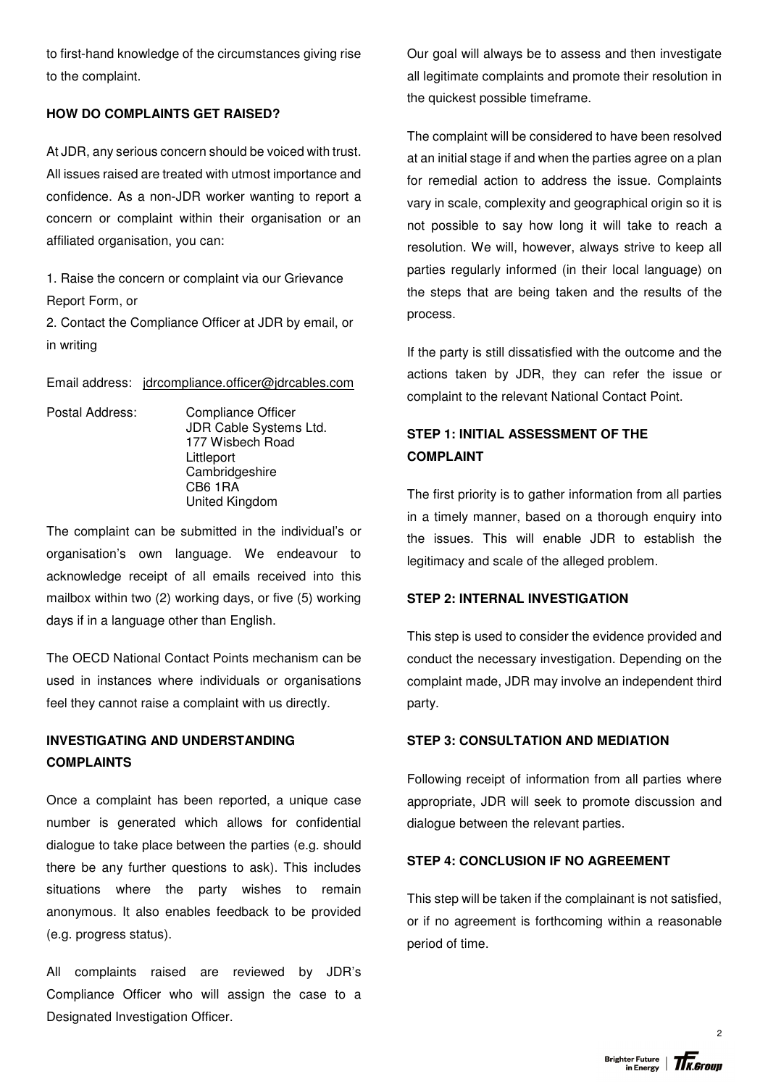to first-hand knowledge of the circumstances giving rise to the complaint.

## **HOW DO COMPLAINTS GET RAISED?**

At JDR, any serious concern should be voiced with trust. All issues raised are treated with utmost importance and confidence. As a non-JDR worker wanting to report a concern or complaint within their organisation or an affiliated organisation, you can:

1. Raise the concern or complaint via our Grievance Report Form, or

2. Contact the Compliance Officer at JDR by email, or in writing

Email address: jdrcompliance.officer@jdrcables.com

Postal Address: Compliance Officer JDR Cable Systems Ltd. 177 Wisbech Road Littleport **Cambridgeshire**  CB6 1RA United Kingdom

The complaint can be submitted in the individual's or organisation's own language. We endeavour to acknowledge receipt of all emails received into this mailbox within two (2) working days, or five (5) working days if in a language other than English.

The OECD National Contact Points mechanism can be used in instances where individuals or organisations feel they cannot raise a complaint with us directly.

# **INVESTIGATING AND UNDERSTANDING COMPLAINTS**

Once a complaint has been reported, a unique case number is generated which allows for confidential dialogue to take place between the parties (e.g. should there be any further questions to ask). This includes situations where the party wishes to remain anonymous. It also enables feedback to be provided (e.g. progress status).

All complaints raised are reviewed by JDR's Compliance Officer who will assign the case to a Designated Investigation Officer.

Our goal will always be to assess and then investigate all legitimate complaints and promote their resolution in the quickest possible timeframe.

The complaint will be considered to have been resolved at an initial stage if and when the parties agree on a plan for remedial action to address the issue. Complaints vary in scale, complexity and geographical origin so it is not possible to say how long it will take to reach a resolution. We will, however, always strive to keep all parties regularly informed (in their local language) on the steps that are being taken and the results of the process.

If the party is still dissatisfied with the outcome and the actions taken by JDR, they can refer the issue or complaint to the relevant National Contact Point.

# **STEP 1: INITIAL ASSESSMENT OF THE COMPLAINT**

The first priority is to gather information from all parties in a timely manner, based on a thorough enquiry into the issues. This will enable JDR to establish the legitimacy and scale of the alleged problem.

### **STEP 2: INTERNAL INVESTIGATION**

This step is used to consider the evidence provided and conduct the necessary investigation. Depending on the complaint made, JDR may involve an independent third party.

## **STEP 3: CONSULTATION AND MEDIATION**

Following receipt of information from all parties where appropriate, JDR will seek to promote discussion and dialogue between the relevant parties.

## **STEP 4: CONCLUSION IF NO AGREEMENT**

This step will be taken if the complainant is not satisfied, or if no agreement is forthcoming within a reasonable period of time.